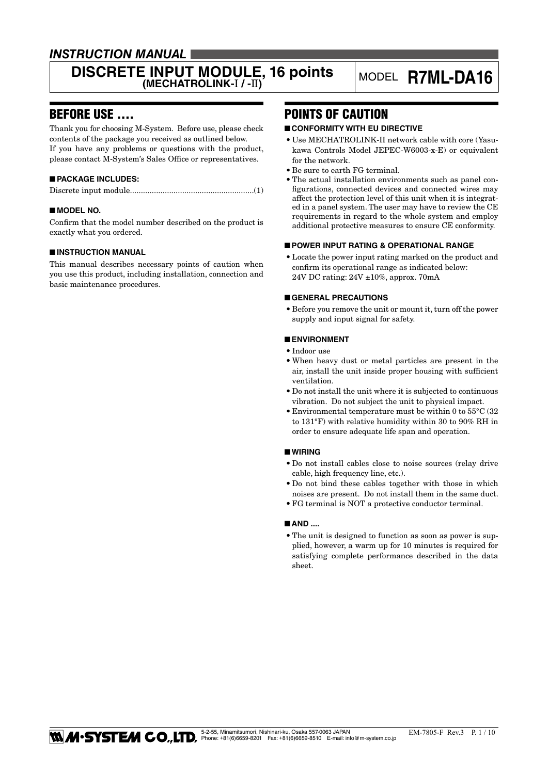### *INSTRUCTION MANUAL*

# **DISCRETE INPUT MODULE, 16 points** MODEL **R7ML-DA16** MODEL **R7ML-DA16**

### BEFORE USE ....

Thank you for choosing M-System. Before use, please check contents of the package you received as outlined below. If you have any problems or questions with the product, please contact M-System's Sales Office or representatives.

#### ■ **PACKAGE INCLUDES:**

|--|--|

#### ■ **MODEL NO.**

Confirm that the model number described on the product is exactly what you ordered.

#### ■ **INSTRUCTION MANUAL**

This manual describes necessary points of caution when you use this product, including installation, connection and basic maintenance procedures.

### POINTS OF CAUTION

#### ■ **CONFORMITY WITH EU DIRECTIVE**

- Use MECHATROLINK-II network cable with core (Yasukawa Controls Model JEPEC-W6003-x-E) or equivalent for the network.
- Be sure to earth FG terminal.
- The actual installation environments such as panel configurations, connected devices and connected wires may affect the protection level of this unit when it is integrated in a panel system. The user may have to review the CE requirements in regard to the whole system and employ additional protective measures to ensure CE conformity.

#### ■ **POWER INPUT RATING & OPERATIONAL RANGE**

• Locate the power input rating marked on the product and confirm its operational range as indicated below: 24V DC rating: 24V ±10%, approx. 70mA

#### ■ **GENERAL PRECAUTIONS**

• Before you remove the unit or mount it, turn off the power supply and input signal for safety.

#### ■ **ENVIRONMENT**

- • Indoor use
- • When heavy dust or metal particles are present in the air, install the unit inside proper housing with sufficient ventilation.
- • Do not install the unit where it is subjected to continuous vibration. Do not subject the unit to physical impact.
- $\bullet$  Environmental temperature must be within 0 to  $55^{\circ}$ C (32 to 131°F) with relative humidity within 30 to 90% RH in order to ensure adequate life span and operation.

#### ■ **WIRING**

- • Do not install cables close to noise sources (relay drive cable, high frequency line, etc.).
- • Do not bind these cables together with those in which noises are present. Do not install them in the same duct.
- • FG terminal is NOT a protective conductor terminal.

#### ■ **AND** ....

• The unit is designed to function as soon as power is supplied, however, a warm up for 10 minutes is required for satisfying complete performance described in the data sheet.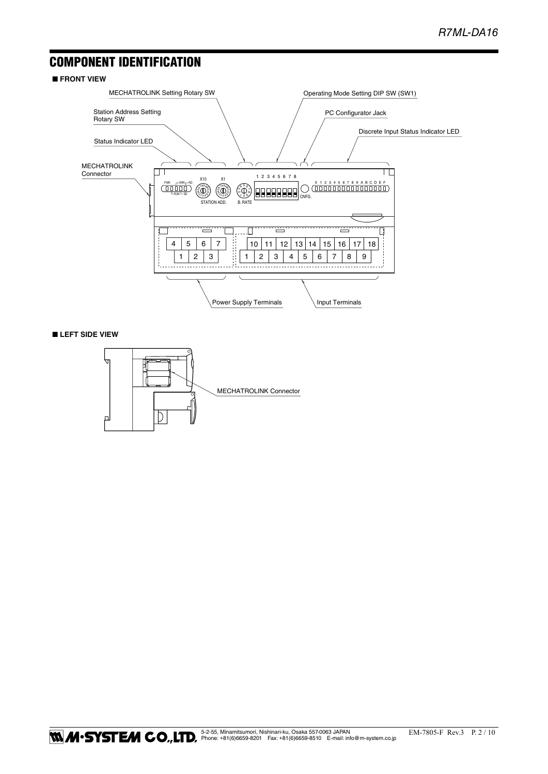### COMPONENT IDENTIFICATION

#### ■ **FRONT VIEW**



#### ■ **LEFT SIDE VIEW**

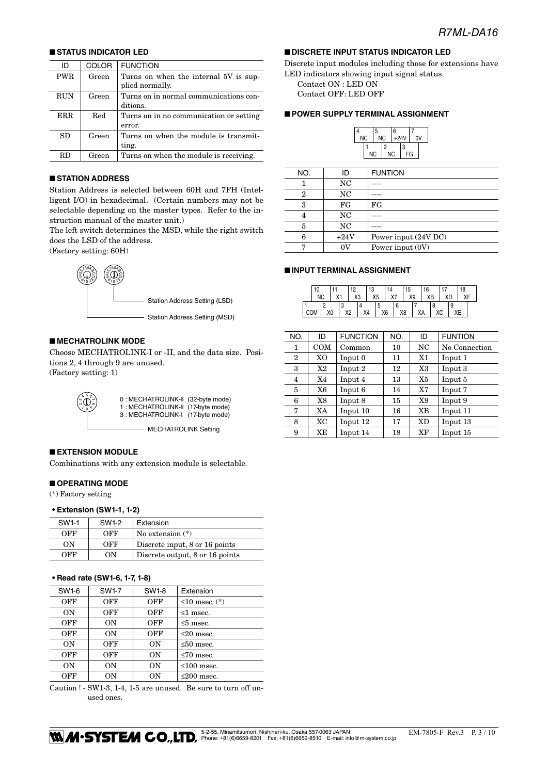#### ■ **STATUS INDICATOR LED**

| ID         | <b>COLOR</b> | <b>FUNCTION</b>                         |
|------------|--------------|-----------------------------------------|
| PWR        | Green        | Turns on when the internal 5V is sup-   |
|            |              | plied normally.                         |
| RUN        | Green        | Turns on in normal communications con-  |
|            |              | ditions.                                |
| <b>ERR</b> | Red          | Turns on in no communication or setting |
|            |              | error.                                  |
| SD.        | Green        | Turns on when the module is transmit-   |
|            |              | ting.                                   |
| RD         | Green        | Turns on when the module is receiving.  |

#### ■ **STATION ADDRESS**

Station Address is selected between 60H and 7FH (Intelligent I/O) in hexadecimal. (Certain numbers may not be selectable depending on the master types. Refer to the instruction manual of the master unit.)

The left switch determines the MSD, while the right switch does the LSD of the address.

(Factory setting: 60H)



#### ■ **MECHATROLINK MODE**

Choose MECHATROLINK-I or -II, and the data size. Positions 2, 4 through 9 are unused. (Factory setting: 1)



0 : MECHATROLINK-II (32-byte mode) 1 : MECHATROLINK-II (17-byte mode) 3 : MECHATROLINK-I (17-byte mode)

- MECHATROLINK Setting

#### ■ **EXTENSION MODULE**

Combinations with any extension module is selectable.

### ■ **OPERATING MODE**

(\*) Factory setting

#### **• Extension (SW1-1, 1-2)**

| SW <sub>1-1</sub> | SW1-2 | Extension                       |
|-------------------|-------|---------------------------------|
| OFF               | OFF   | No extension $(*)$              |
| ON                | OFF   | Discrete input, 8 or 16 points  |
| OFF               | OΝ    | Discrete output, 8 or 16 points |

#### **• Read rate (SW1-6, 1-7, 1-8)**

| SW1-6 | <b>SW1-7</b> | SW1-8     | Extension             |
|-------|--------------|-----------|-----------------------|
| OFF   | OFF          | OFF       | $\leq 10$ msec. $(*)$ |
| ON    | OFF          | OFF       | $\leq 1$ msec.        |
| OFF   | ON           | OFF       | $\leq 5$ msec.        |
| OFF   | ON           | OFF       | $\leq$ 20 msec.       |
| ON    | OFF          | <b>ON</b> | $\leq 50$ msec.       |
| OFF   | OFF          | 0N        | $\leq 70$ msec.       |
| ON    | OΝ           | ΟN        | $\leq 100$ msec.      |
| OFF   | OΝ           | ON        | $\leq$ 200 msec.      |

Caution ! - SW1-3, 1-4, 1-5 are unused. Be sure to turn off unused ones.

#### ■ **DISCRETE INPUT STATUS INDICATOR LED**

Discrete input modules including those for extensions have LED indicators showing input signal status.

Contact ON : LED ON

Contact OFF: LED OFF

#### ■ **POWER SUPPLY TERMINAL ASSIGNMENT**

|           | 5         |           | 6 |        |  |    |
|-----------|-----------|-----------|---|--------|--|----|
| <b>NC</b> |           | NC        |   | $+24V$ |  | 0V |
|           |           | 2         |   | 3      |  |    |
|           | <b>NC</b> | <b>NC</b> |   | FG     |  |    |

| NO. | ID     | <b>FUNTION</b>       |
|-----|--------|----------------------|
|     | NC     |                      |
| 2   | NC     |                      |
| 3   | FG     | FG                   |
| 4   | NC     |                      |
| 5   | NC     |                      |
| 6   | $+24V$ | Power input (24V DC) |
|     | ΩU     | Power input $(0V)$   |

#### ■ **INPUT TERMINAL ASSIGNMENT**

|            | 10 |                |                    | 10             |    | 13             |                | 14 |                | 15 |    | 16 |    |     |   | 18 |  |
|------------|----|----------------|--------------------|----------------|----|----------------|----------------|----|----------------|----|----|----|----|-----|---|----|--|
|            | NC |                |                    | X <sub>3</sub> |    | X <sub>5</sub> |                | X7 |                | X9 |    | XB |    | XD. |   | ХF |  |
|            |    |                | o<br>×.            |                |    |                | c              |    |                |    |    |    |    |     | 9 |    |  |
| <b>COM</b> |    | X <sub>0</sub> | vo<br>, . <u>.</u> |                | X4 |                | X <sub>6</sub> |    | X <sub>8</sub> |    | ХA |    | ХC |     |   |    |  |

| NO.            | ID             | <b>FUNCTION</b> | NO. | ID        | <b>FUNTION</b> |
|----------------|----------------|-----------------|-----|-----------|----------------|
| 1              | <b>COM</b>     | Common          | 10  | NC        | No Connection  |
| $\overline{2}$ | X <sub>O</sub> | Input 0         | 11  | X1        | Input 1        |
| 3              | X2             | Input 2         | 12  | X3        | Input 3        |
| 4              | X4             | Input 4         | 13  | X5        | Input 5        |
| 5              | X6             | Input 6         | 14  | X7        | Input 7        |
| 6              | X8             | Input 8         | 15  | X9        | Input 9        |
| 7              | XA             | Input 10        | 16  | XB        | Input 11       |
| 8              | <b>XC</b>      | Input 12        | 17  | <b>XD</b> | Input 13       |
| 9              | XE             | Input 14        | 18  | XF        | Input 15       |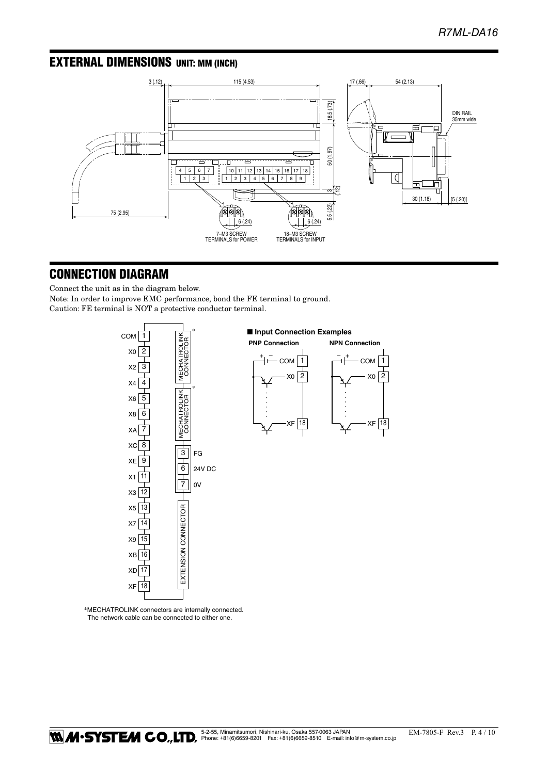### EXTERNAL DIMENSIONS unit: mm (inch)



### CONNECTION DIAGRAM

Connect the unit as in the diagram below. Note: In order to improve EMC performance, bond the FE terminal to ground. Caution: FE terminal is NOT a protective conductor terminal.



\*MECHATROLINK connectors are internally connected. The network cable can be connected to either one.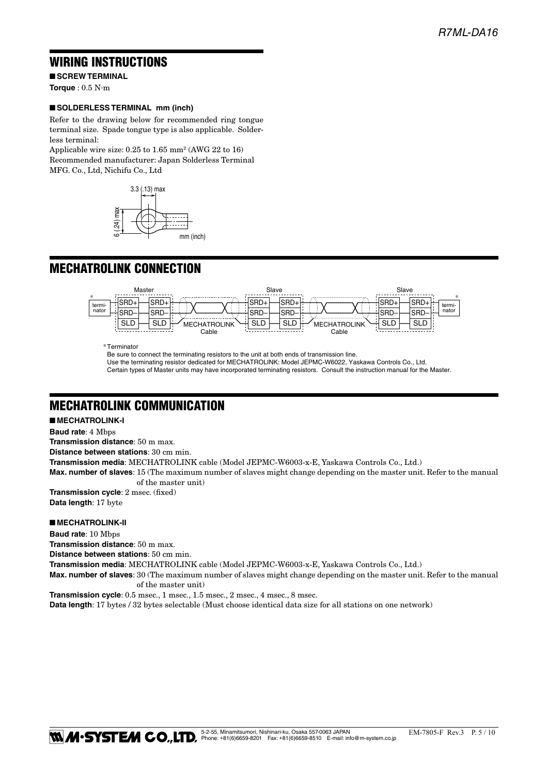### WIRING INSTRUCTIONS

■ **SCREW TERMINAL**

**Torque** : 0.5 N·m

#### ■ **SOLDERLESS TERMINAL mm (inch)**

Refer to the drawing below for recommended ring tongue terminal size. Spade tongue type is also applicable. Solderless terminal:

Applicable wire size: 0.25 to 1.65 mm2 (AWG 22 to 16) Recommended manufacturer: Japan Solderless Terminal MFG. Co., Ltd, Nichifu Co., Ltd



### **MECHATROLINK CONNECTION**



Be sure to connect the terminating resistors to the unit at both ends of transmission line. Use the terminating resistor dedicated for MECHATROLINK: Model JEPMC-W6022, Yaskawa Controls Co., Ltd. Certain types of Master units may have incorporated terminating resistors. Consult the instruction manual for the Master.

### MECHATROLINK COMMUNICATION

#### ■ **MECHATROLINK-I**

**Baud rate**: 4 Mbps

**Transmission distance**: 50 m max.

**Distance between stations**: 30 cm min.

**Transmission media**: MECHATROLINK cable (Model JEPMC-W6003-x-E, Yaskawa Controls Co., Ltd.)

**Max. number of slaves**: 15 (The maximum number of slaves might change depending on the master unit. Refer to the manual of the master unit)

**Transmission cycle**: 2 msec. (fixed) **Data length**: 17 byte

#### ■ **MECHATROLINK-II**

**Baud rate**: 10 Mbps **Transmission distance**: 50 m max. **Distance between stations**: 50 cm min. **Transmission media**: MECHATROLINK cable (Model JEPMC-W6003-x-E, Yaskawa Controls Co., Ltd.) **Max. number of slaves**: 30 (The maximum number of slaves might change depending on the master unit. Refer to the manual of the master unit) **Transmission cycle**: 0.5 msec., 1 msec., 1.5 msec., 2 msec., 4 msec., 8 msec.

**Data length**: 17 bytes / 32 bytes selectable (Must choose identical data size for all stations on one network)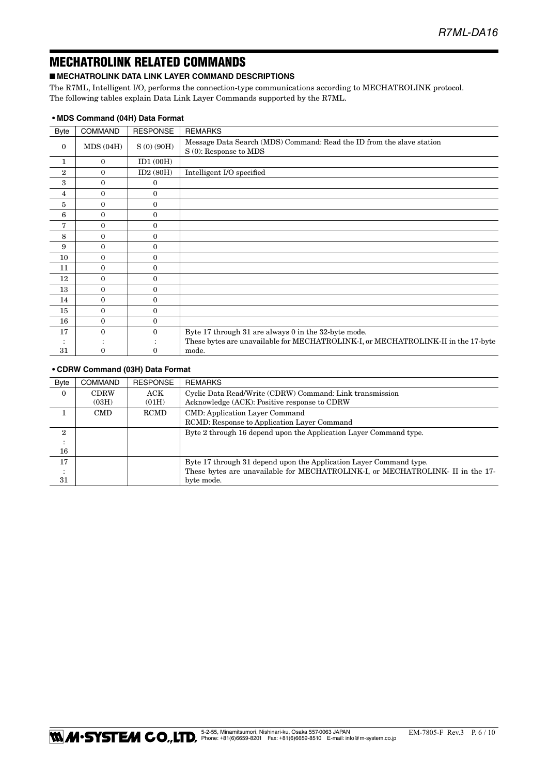### MECHATROLINK RELATED COMMANDS

#### ■ **MECHATROLINK DATA LINK LAYER COMMAND DESCRIPTIONS**

The R7ML, Intelligent I/O, performs the connection-type communications according to MECHATROLINK protocol. The following tables explain Data Link Layer Commands supported by the R7ML.

| <b>Byte</b>    | <b>COMMAND</b> | <b>RESPONSE</b> | <b>REMARKS</b>                                                                                  |
|----------------|----------------|-----------------|-------------------------------------------------------------------------------------------------|
| $\bf{0}$       | MDS(04H)       | S(0) (90H)      | Message Data Search (MDS) Command: Read the ID from the slave station<br>S (0): Response to MDS |
| 1              | $\mathbf{0}$   | ID1(00H)        |                                                                                                 |
| $\overline{2}$ | $\Omega$       | ID2(80H)        | Intelligent I/O specified                                                                       |
| 3              | 0              | 0               |                                                                                                 |
| $\overline{4}$ | $\Omega$       | $\theta$        |                                                                                                 |
| 5              | $\Omega$       | $\theta$        |                                                                                                 |
| 6              | 0              | $\mathbf{0}$    |                                                                                                 |
| 7              | $\Omega$       | $\theta$        |                                                                                                 |
| 8              | 0              | $\mathbf{0}$    |                                                                                                 |
| 9              | 0              | $\theta$        |                                                                                                 |
| 10             | $\theta$       | $\theta$        |                                                                                                 |
| 11             | 0              | $\theta$        |                                                                                                 |
| 12             | $\Omega$       | $\theta$        |                                                                                                 |
| 13             | 0              | $\mathbf{0}$    |                                                                                                 |
| 14             | $\Omega$       | $\theta$        |                                                                                                 |
| 15             | $\Omega$       | $\theta$        |                                                                                                 |
| 16             | 0              | $\mathbf{0}$    |                                                                                                 |
| 17             | 0              | $\Omega$        | Byte 17 through 31 are always 0 in the 32-byte mode.                                            |
|                |                |                 | These bytes are unavailable for MECHATROLINK-I, or MECHATROLINK-II in the 17-byte               |
| 31             |                | 0               | mode.                                                                                           |

#### **• MDS Command (04H) Data Format**

#### **• CDRW Command (03H) Data Format**

| <b>Byte</b>  | <b>COMMAND</b> | <b>RESPONSE</b> | <b>REMARKS</b>                                                                |
|--------------|----------------|-----------------|-------------------------------------------------------------------------------|
| $\Omega$     | <b>CDRW</b>    | ACK             | Cyclic Data Read/Write (CDRW) Command: Link transmission                      |
|              | (03H)          | (01H)           | Acknowledge (ACK): Positive response to CDRW                                  |
|              | <b>CMD</b>     | <b>RCMD</b>     | <b>CMD:</b> Application Layer Command                                         |
|              |                |                 | RCMD: Response to Application Layer Command                                   |
| $\mathbf{2}$ |                |                 | Byte 2 through 16 depend upon the Application Layer Command type.             |
|              |                |                 |                                                                               |
| 16           |                |                 |                                                                               |
| 17           |                |                 | Byte 17 through 31 depend upon the Application Layer Command type.            |
|              |                |                 | These bytes are unavailable for MECHATROLINK-I, or MECHATROLINK-II in the 17- |
| 31           |                |                 | byte mode.                                                                    |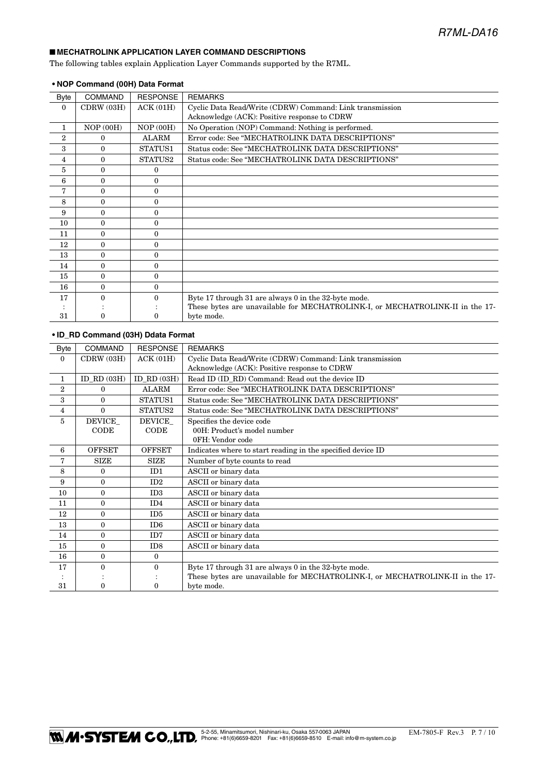#### ■ **MECHATROLINK APPLICATION LAYER COMMAND DESCRIPTIONS**

The following tables explain Application Layer Commands supported by the R7ML.

| Byte           | <b>COMMAND</b> | <b>RESPONSE</b> | <b>REMARKS</b>                                                                |
|----------------|----------------|-----------------|-------------------------------------------------------------------------------|
| $\Omega$       | CDRW(03H)      | ACK(01H)        | Cyclic Data Read/Write (CDRW) Command: Link transmission                      |
|                |                |                 | Acknowledge (ACK): Positive response to CDRW                                  |
| 1              | NOP(00H)       | NOP(00H)        | No Operation (NOP) Command: Nothing is performed.                             |
| $\overline{2}$ | 0              | <b>ALARM</b>    | Error code: See "MECHATROLINK DATA DESCRIPTIONS"                              |
| 3              | $\Omega$       | STATUS1         | Status code: See "MECHATROLINK DATA DESCRIPTIONS"                             |
| 4              | $\Omega$       | STATUS2         | Status code: See "MECHATROLINK DATA DESCRIPTIONS"                             |
| 5              | $\Omega$       | 0               |                                                                               |
| 6              | $\Omega$       | $\Omega$        |                                                                               |
| 7              | $\theta$       | $\Omega$        |                                                                               |
| 8              | $\theta$       | $\Omega$        |                                                                               |
| 9              | $\Omega$       | $\Omega$        |                                                                               |
| 10             | $\Omega$       | $\Omega$        |                                                                               |
| 11             | $\Omega$       | $\Omega$        |                                                                               |
| 12             | $\Omega$       | $\Omega$        |                                                                               |
| 13             | $\Omega$       | $\Omega$        |                                                                               |
| 14             | $\Omega$       | $\Omega$        |                                                                               |
| 15             | $\Omega$       | $\Omega$        |                                                                               |
| 16             | $\Omega$       | $\Omega$        |                                                                               |
| 17             | $\Omega$       | 0               | Byte 17 through 31 are always 0 in the 32-byte mode.                          |
|                |                |                 | These bytes are unavailable for MECHATROLINK-I, or MECHATROLINK-II in the 17- |
| 31             | O              | 0               | byte mode.                                                                    |

#### **• NOP Command (00H) Data Format**

#### **• ID\_RD Command (03H) Ddata Format**

| <b>Byte</b>    | <b>COMMAND</b> | <b>RESPONSE</b>            | <b>REMARKS</b>                                                                |
|----------------|----------------|----------------------------|-------------------------------------------------------------------------------|
| $\mathbf{0}$   | CDRW (03H)     | ACK(01H)                   | Cyclic Data Read/Write (CDRW) Command: Link transmission                      |
|                |                |                            | Acknowledge (ACK): Positive response to CDRW                                  |
| $\mathbf{1}$   | $ID_RD(03H)$   | $ID$ <sub>RD</sub> $(03H)$ | Read ID (ID_RD) Command: Read out the device ID                               |
| $\overline{2}$ | $\Omega$       | <b>ALARM</b>               | Error code: See "MECHATROLINK DATA DESCRIPTIONS"                              |
| 3              | $\Omega$       | STATUS1                    | Status code: See "MECHATROLINK DATA DESCRIPTIONS"                             |
| $\overline{4}$ | $\theta$       | STATUS2                    | Status code: See "MECHATROLINK DATA DESCRIPTIONS"                             |
| 5              | DEVICE         | DEVICE                     | Specifies the device code                                                     |
|                | CODE           | CODE                       | 00H: Product's model number                                                   |
|                |                |                            | 0FH: Vendor code                                                              |
| 6              | <b>OFFSET</b>  | <b>OFFSET</b>              | Indicates where to start reading in the specified device ID                   |
| 7              | <b>SIZE</b>    | <b>SIZE</b>                | Number of byte counts to read                                                 |
| 8              | $\theta$       | ID1                        | ASCII or binary data                                                          |
| 9              | $\theta$       | ID2                        | ASCII or binary data                                                          |
| 10             | $\Omega$       | ID <sub>3</sub>            | ASCII or binary data                                                          |
| 11             | $\Omega$       | ID4                        | ASCII or binary data                                                          |
| 12             | $\Omega$       | ID <sub>5</sub>            | ASCII or binary data                                                          |
| 13             | $\Omega$       | ID <sub>6</sub>            | ASCII or binary data                                                          |
| 14             | $\theta$       | ID <sub>7</sub>            | ASCII or binary data                                                          |
| 15             | $\Omega$       | ID <sub>8</sub>            | ASCII or binary data                                                          |
| 16             | $\theta$       | $\Omega$                   |                                                                               |
| 17             | $\Omega$       | $\Omega$                   | Byte 17 through 31 are always 0 in the 32-byte mode.                          |
|                |                |                            | These bytes are unavailable for MECHATROLINK-I, or MECHATROLINK-II in the 17- |
| 31             | $\Omega$       | 0                          | byte mode.                                                                    |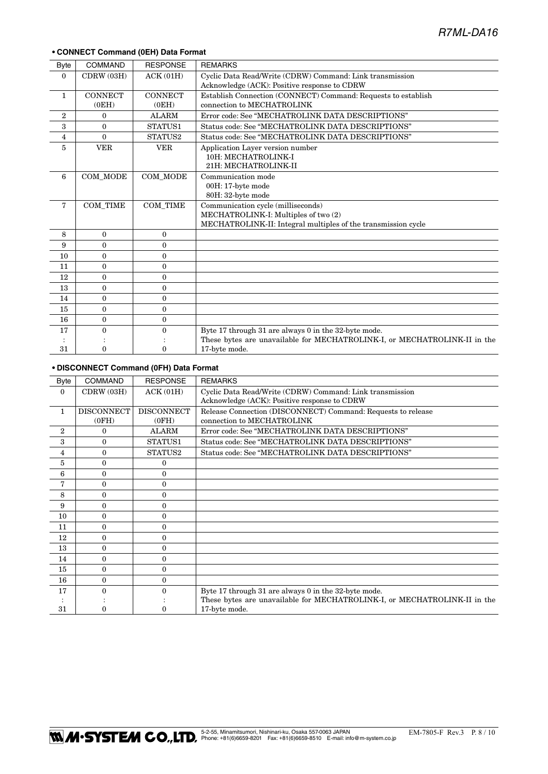#### **• CONNECT Command (0EH) Data Format**

| <b>Byte</b>    | <b>COMMAND</b>  | <b>RESPONSE</b> | <b>REMARKS</b>                                                            |  |
|----------------|-----------------|-----------------|---------------------------------------------------------------------------|--|
| $\theta$       | CDRW (03H)      | ACK(01H)        | Cyclic Data Read/Write (CDRW) Command: Link transmission                  |  |
|                |                 |                 | Acknowledge (ACK): Positive response to CDRW                              |  |
| $\mathbf{1}$   | <b>CONNECT</b>  | <b>CONNECT</b>  | Establish Connection (CONNECT) Command: Requests to establish             |  |
|                | (0EH)           | (0EH)           | connection to MECHATROLINK                                                |  |
| $\overline{2}$ | 0               | <b>ALARM</b>    | Error code: See "MECHATROLINK DATA DESCRIPTIONS"                          |  |
| 3              | $\Omega$        | STATUS1         | Status code: See "MECHATROLINK DATA DESCRIPTIONS"                         |  |
| $\overline{4}$ | $\Omega$        | STATUS2         | Status code: See "MECHATROLINK DATA DESCRIPTIONS"                         |  |
| 5              | <b>VER</b>      | <b>VER</b>      | Application Layer version number                                          |  |
|                |                 |                 | 10H: MECHATROLINK-I                                                       |  |
|                |                 |                 | 21H: MECHATROLINK-II                                                      |  |
| 6              | COM_MODE        | COM_MODE        | Communication mode                                                        |  |
|                |                 |                 | 00H: 17-byte mode                                                         |  |
|                |                 |                 | 80H: 32-byte mode                                                         |  |
| $\overline{7}$ | <b>COM_TIME</b> | COM TIME        | Communication cycle (milliseconds)                                        |  |
|                |                 |                 | MECHATROLINK-I: Multiples of two (2)                                      |  |
|                |                 |                 | MECHATROLINK-II: Integral multiples of the transmission cycle             |  |
| 8              | $\Omega$        | $\mathbf{0}$    |                                                                           |  |
| 9              | $\theta$        | $\theta$        |                                                                           |  |
| 10             | $\Omega$        | $\theta$        |                                                                           |  |
| 11             | $\Omega$        | $\mathbf{0}$    |                                                                           |  |
| 12             | $\Omega$        | $\theta$        |                                                                           |  |
| 13             | $\Omega$        | $\mathbf{0}$    |                                                                           |  |
| 14             | $\theta$        | $\mathbf{0}$    |                                                                           |  |
| 15             | $\Omega$        | $\Omega$        |                                                                           |  |
| 16             | $\mathbf{0}$    | $\mathbf{0}$    |                                                                           |  |
| 17             | $\Omega$        | $\Omega$        | Byte 17 through 31 are always 0 in the 32-byte mode.                      |  |
|                |                 |                 | These bytes are unavailable for MECHATROLINK-I, or MECHATROLINK-II in the |  |
| 31             | $\theta$        | $\Omega$        | 17-byte mode.                                                             |  |

#### **• DISCONNECT Command (0FH) Data Format**

|                |                   | <b>RESPONSE</b>   |                                                                           |  |
|----------------|-------------------|-------------------|---------------------------------------------------------------------------|--|
| Byte           | <b>COMMAND</b>    |                   | <b>REMARKS</b>                                                            |  |
| $\mathbf{0}$   | CDRW (03H)        | ACK(01H)          | Cyclic Data Read/Write (CDRW) Command: Link transmission                  |  |
|                |                   |                   | Acknowledge (ACK): Positive response to CDRW                              |  |
| $\mathbf{1}$   | <b>DISCONNECT</b> | <b>DISCONNECT</b> | Release Connection (DISCONNECT) Command: Requests to release              |  |
|                | (0FH)             | (OFH)             | connection to MECHATROLINK                                                |  |
| $\overline{2}$ | $\Omega$          | <b>ALARM</b>      | Error code: See "MECHATROLINK DATA DESCRIPTIONS"                          |  |
| 3              | 0                 | STATUS1           | Status code: See "MECHATROLINK DATA DESCRIPTIONS"                         |  |
| 4              | 0                 | STATUS2           | Status code: See "MECHATROLINK DATA DESCRIPTIONS"                         |  |
| 5              | $\Omega$          | 0                 |                                                                           |  |
| 6              | 0                 | 0                 |                                                                           |  |
| 7              | $\Omega$          | $\Omega$          |                                                                           |  |
| 8              | 0                 | $\Omega$          |                                                                           |  |
| 9              | 0                 | $\Omega$          |                                                                           |  |
| 10             | 0                 | 0                 |                                                                           |  |
| 11             | 0                 | 0                 |                                                                           |  |
| 12             | 0                 | $\Omega$          |                                                                           |  |
| 13             | 0                 | $\Omega$          |                                                                           |  |
| 14             | 0                 | $\Omega$          |                                                                           |  |
| 15             | 0                 | $\Omega$          |                                                                           |  |
| 16             | $\Omega$          | $\Omega$          |                                                                           |  |
| 17             |                   | 0                 | Byte 17 through 31 are always 0 in the 32-byte mode.                      |  |
|                |                   |                   | These bytes are unavailable for MECHATROLINK-I, or MECHATROLINK-II in the |  |
| 31             |                   |                   | 17-byte mode.                                                             |  |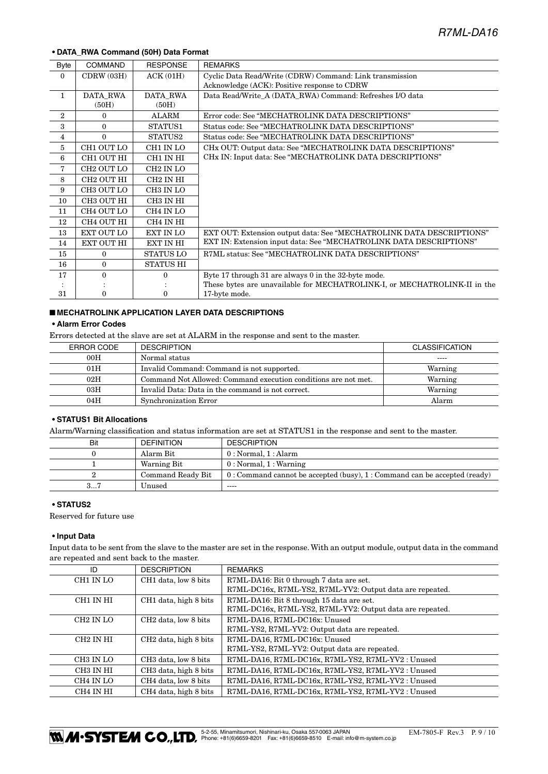#### **• DATA\_RWA Command (50H) Data Format**

| Byte           | <b>COMMAND</b>         | <b>RESPONSE</b>       | <b>REMARKS</b>                                                            |  |
|----------------|------------------------|-----------------------|---------------------------------------------------------------------------|--|
| $\Omega$       | CDRW (03H)             | ACK(01H)              | Cyclic Data Read/Write (CDRW) Command: Link transmission                  |  |
|                |                        |                       | Acknowledge (ACK): Positive response to CDRW                              |  |
| $\mathbf{1}$   | DATA RWA               | DATA RWA              | Data Read/Write A (DATA RWA) Command: Refreshes I/O data                  |  |
|                | (50H)                  | (50H)                 |                                                                           |  |
| $\overline{2}$ | $\theta$               | <b>ALARM</b>          | Error code: See "MECHATROLINK DATA DESCRIPTIONS"                          |  |
| 3              | $\Omega$               | STATUS1               | Status code: See "MECHATROLINK DATA DESCRIPTIONS"                         |  |
| $\overline{4}$ | $\Omega$               | STATUS2               | Status code: See "MECHATROLINK DATA DESCRIPTIONS"                         |  |
| 5              | CH1 OUT LO             | CH1 IN LO             | CHx OUT: Output data: See "MECHATROLINK DATA DESCRIPTIONS"                |  |
| 6              | CH1 OUT HI             | CH1 IN HI             | CHx IN: Input data: See "MECHATROLINK DATA DESCRIPTIONS"                  |  |
| 7              | CH <sub>2</sub> OUT LO | CH <sub>2</sub> IN LO |                                                                           |  |
| 8              | CH2 OUT HI             | CH <sub>2</sub> IN HI |                                                                           |  |
| 9              | CH3 OUT LO             | CH3 IN LO             |                                                                           |  |
| 10             | CH3 OUT HI             | CH3 IN HI             |                                                                           |  |
| 11             | CH4 OUT LO             | CH <sub>4</sub> IN LO |                                                                           |  |
| 12             | CH4 OUT HI             | CH4 IN HI             |                                                                           |  |
| 13             | EXT OUT LO             | <b>EXT IN LO</b>      | EXT OUT: Extension output data: See "MECHATROLINK DATA DESCRIPTIONS"      |  |
| 14             | EXT OUT HI             | EXT IN HI             | EXT IN: Extension input data: See "MECHATROLINK DATA DESCRIPTIONS"        |  |
| 15             | $\theta$               | <b>STATUS LO</b>      | R7ML status: See "MECHATROLINK DATA DESCRIPTIONS"                         |  |
| 16             | $\mathbf{0}$           | <b>STATUS HI</b>      |                                                                           |  |
| 17             | $\Omega$               | $\Omega$              | Byte 17 through 31 are always 0 in the 32-byte mode.                      |  |
|                |                        |                       | These bytes are unavailable for MECHATROLINK-I, or MECHATROLINK-II in the |  |
| 31             | 0                      | 0                     | 17-byte mode.                                                             |  |

#### ■ **MECHATROLINK APPLICATION LAYER DATA DESCRIPTIONS**

#### **• Alarm Error Codes**

Errors detected at the slave are set at ALARM in the response and sent to the master.

| ERROR CODE | <b>DESCRIPTION</b>                                             | <b>CLASSIFICATION</b> |
|------------|----------------------------------------------------------------|-----------------------|
| 00H        | Normal status                                                  | $- - - -$             |
| 01H        | Invalid Command: Command is not supported.                     | Warning               |
| 02H        | Command Not Allowed: Command execution conditions are not met. | Warning               |
| 03H        | Invalid Data: Data in the command is not correct.              | Warning               |
| 04H        | Synchronization Error                                          | Alarm                 |

#### **• STATUS1 Bit Allocations**

Alarm/Warning classification and status information are set at STATUS1 in the response and sent to the master.

| Bit | <b>DEFINITION</b> | <b>DESCRIPTION</b>                                                           |
|-----|-------------------|------------------------------------------------------------------------------|
|     | Alarm Bit         | 0: Normal, 1: Alarm                                                          |
|     | Warning Bit       | 0: Normal, 1: Warning                                                        |
|     | Command Ready Bit | $0:$ Command cannot be accepted (busy), $1:$ Command can be accepted (ready) |
| 37  | Unused            | $\frac{1}{2}$                                                                |

#### **• STATUS2**

Reserved for future use

#### **• Input Data**

Input data to be sent from the slave to the master are set in the response. With an output module, output data in the command are repeated and sent back to the master.

| ID                    | <b>DESCRIPTION</b>                | <b>REMARKS</b>                                            |
|-----------------------|-----------------------------------|-----------------------------------------------------------|
| CH1 IN LO             | CH1 data, low 8 bits              | R7ML-DA16: Bit 0 through 7 data are set.                  |
|                       |                                   | R7ML-DC16x, R7ML-YS2, R7ML-YV2: Output data are repeated. |
| CH1 IN HI             | CH1 data, high 8 bits             | R7ML-DA16: Bit 8 through 15 data are set.                 |
|                       |                                   | R7ML-DC16x, R7ML-YS2, R7ML-YV2: Output data are repeated. |
| CH <sub>2</sub> IN LO | CH <sub>2</sub> data, low 8 bits  | R7ML-DA16, R7ML-DC16x: Unused                             |
|                       |                                   | R7ML-YS2, R7ML-YV2: Output data are repeated.             |
| CH <sub>2</sub> IN HI | CH <sub>2</sub> data, high 8 bits | R7ML-DA16, R7ML-DC16x: Unused                             |
|                       |                                   | R7ML-YS2, R7ML-YV2: Output data are repeated.             |
| CH3 IN LO             | CH <sub>3</sub> data, low 8 bits  | R7ML-DA16, R7ML-DC16x, R7ML-YS2, R7ML-YV2 : Unused        |
| CH3 IN HI             | CH <sub>3</sub> data, high 8 bits | R7ML-DA16, R7ML-DC16x, R7ML-YS2, R7ML-YV2 : Unused        |
| CH4 IN LO             | CH4 data, low 8 bits              | R7ML-DA16, R7ML-DC16x, R7ML-YS2, R7ML-YV2 : Unused        |
| CH4 IN HI             | CH <sub>4</sub> data, high 8 bits | R7ML-DA16, R7ML-DC16x, R7ML-YS2, R7ML-YV2 : Unused        |